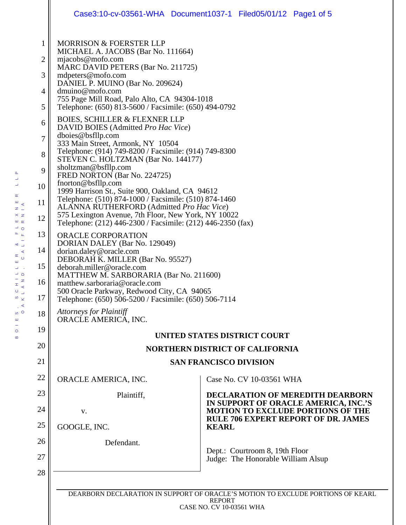|                                                                                                              |                                                                                                                                                                                                                                                                                                                                                                                                                                                                                                                                                                                                                                                                                                                                                                                                                                                                                                                                                                                                                                                                                                                                                                                                                                                                                                           | Case3:10-cv-03561-WHA Document1037-1 Filed05/01/12 Page1 of 5                    |  |
|--------------------------------------------------------------------------------------------------------------|-----------------------------------------------------------------------------------------------------------------------------------------------------------------------------------------------------------------------------------------------------------------------------------------------------------------------------------------------------------------------------------------------------------------------------------------------------------------------------------------------------------------------------------------------------------------------------------------------------------------------------------------------------------------------------------------------------------------------------------------------------------------------------------------------------------------------------------------------------------------------------------------------------------------------------------------------------------------------------------------------------------------------------------------------------------------------------------------------------------------------------------------------------------------------------------------------------------------------------------------------------------------------------------------------------------|----------------------------------------------------------------------------------|--|
| 1<br>$\overline{2}$<br>3<br>4<br>5<br>6<br>7<br>8<br>9<br>10<br>11<br>12<br>13<br>14<br>15<br>16<br>17<br>18 | <b>MORRISON &amp; FOERSTER LLP</b><br>MICHAEL A. JACOBS (Bar No. 111664)<br>mjacobs@mofo.com<br>MARC DAVID PETERS (Bar No. 211725)<br>mdpeters@mofo.com<br>DANIEL P. MUINO (Bar No. 209624)<br>dmuino@mofo.com<br>755 Page Mill Road, Palo Alto, CA 94304-1018<br>Telephone: (650) 813-5600 / Facsimile: (650) 494-0792<br><b>BOIES, SCHILLER &amp; FLEXNER LLP</b><br>DAVID BOIES (Admitted Pro Hac Vice)<br>dboies@bsfllp.com<br>333 Main Street, Armonk, NY 10504<br>Telephone: (914) 749-8200 / Facsimile: (914) 749-8300<br>STEVEN C. HOLTZMAN (Bar No. 144177)<br>sholtzman@bsfllp.com<br>FRED NORTON (Bar No. 224725)<br>fnorton@bsfllp.com<br>1999 Harrison St., Suite 900, Oakland, CA 94612<br>Telephone: (510) 874-1000 / Facsimile: (510) 874-1460<br>ALANNA RUTHERFORD (Admitted Pro Hac Vice)<br>575 Lexington Avenue, 7th Floor, New York, NY 10022<br>Telephone: (212) 446-2300 / Facsimile: (212) 446-2350 (fax)<br>ORACLE CORPORATION<br>DORIAN DALEY (Bar No. 129049)<br>dorian.daley@oracle.com<br>DEBORAH K. MILLER (Bar No. 95527)<br>deborah.miller@oracle.com<br>MATTHEW M. SARBORARIA (Bar No. 211600)<br>matthew.sarboraria@oracle.com<br>500 Oracle Parkway, Redwood City, CA 94065<br>Telephone: (650) 506-5200 / Facsimile: (650) 506-7114<br><b>Attorneys for Plaintiff</b> |                                                                                  |  |
| 19                                                                                                           | ORACLE AMERICA, INC.<br>UNITED STATES DISTRICT COURT                                                                                                                                                                                                                                                                                                                                                                                                                                                                                                                                                                                                                                                                                                                                                                                                                                                                                                                                                                                                                                                                                                                                                                                                                                                      |                                                                                  |  |
| 20                                                                                                           | <b>NORTHERN DISTRICT OF CALIFORNIA</b>                                                                                                                                                                                                                                                                                                                                                                                                                                                                                                                                                                                                                                                                                                                                                                                                                                                                                                                                                                                                                                                                                                                                                                                                                                                                    |                                                                                  |  |
| 21                                                                                                           | <b>SAN FRANCISCO DIVISION</b>                                                                                                                                                                                                                                                                                                                                                                                                                                                                                                                                                                                                                                                                                                                                                                                                                                                                                                                                                                                                                                                                                                                                                                                                                                                                             |                                                                                  |  |
| 22                                                                                                           | ORACLE AMERICA, INC.                                                                                                                                                                                                                                                                                                                                                                                                                                                                                                                                                                                                                                                                                                                                                                                                                                                                                                                                                                                                                                                                                                                                                                                                                                                                                      | Case No. CV 10-03561 WHA                                                         |  |
| 23                                                                                                           | Plaintiff,                                                                                                                                                                                                                                                                                                                                                                                                                                                                                                                                                                                                                                                                                                                                                                                                                                                                                                                                                                                                                                                                                                                                                                                                                                                                                                | DECLARATION OF MEREDITH DEARBORN                                                 |  |
| 24                                                                                                           | V.                                                                                                                                                                                                                                                                                                                                                                                                                                                                                                                                                                                                                                                                                                                                                                                                                                                                                                                                                                                                                                                                                                                                                                                                                                                                                                        | IN SUPPORT OF ORACLE AMERICA, INC.'S<br><b>MOTION TO EXCLUDE PORTIONS OF THE</b> |  |
| 25                                                                                                           | GOOGLE, INC.                                                                                                                                                                                                                                                                                                                                                                                                                                                                                                                                                                                                                                                                                                                                                                                                                                                                                                                                                                                                                                                                                                                                                                                                                                                                                              | <b>RULE 706 EXPERT REPORT OF DR. JAMES</b><br><b>KEARL</b>                       |  |
| 26                                                                                                           | Defendant.                                                                                                                                                                                                                                                                                                                                                                                                                                                                                                                                                                                                                                                                                                                                                                                                                                                                                                                                                                                                                                                                                                                                                                                                                                                                                                |                                                                                  |  |
| 27                                                                                                           |                                                                                                                                                                                                                                                                                                                                                                                                                                                                                                                                                                                                                                                                                                                                                                                                                                                                                                                                                                                                                                                                                                                                                                                                                                                                                                           | Dept.: Courtroom 8, 19th Floor<br>Judge: The Honorable William Alsup             |  |
| 28                                                                                                           |                                                                                                                                                                                                                                                                                                                                                                                                                                                                                                                                                                                                                                                                                                                                                                                                                                                                                                                                                                                                                                                                                                                                                                                                                                                                                                           |                                                                                  |  |

BOIES, SCHILLER & FLEXNER LLP  $\frac{m}{7}$  < OAKLAND, CALIFORNIA  $\overline{z}$   $\overline{z}$  $\times z$  $|\mathbf{m}|\rangle_{\mathbf{K}}$  $\overline{\phantom{0}}$  o  $\begin{array}{c} \mathbf{r} \\ \mathbf{r} \end{array}$  $\begin{array}{c} - \\ 2 \end{array}$  $\begin{array}{c}\n\alpha \\
\alpha \\
\beta\n\end{array}$  $\Delta \sim 1$  $\Box$   $\Box$  $\equiv$  $\overline{z}$  $\frac{1}{x}$  $O \bigcup_{i=1}^{\infty}$  $\frac{1}{2}$  $\alpha$  $\int_{0}^{\infty}$  $\mathbf{m}$ ÷  $\circ$  $\pmb{\mathsf{m}}$ 

 $\Delta$  $\Box$  $\overline{a}$  $\propto$ 

> DEARBORN DECLARATION IN SUPPORT OF ORACLE'S MOTION TO EXCLUDE PORTIONS OF KEARL REPORT CASE NO. CV 10-03561 WHA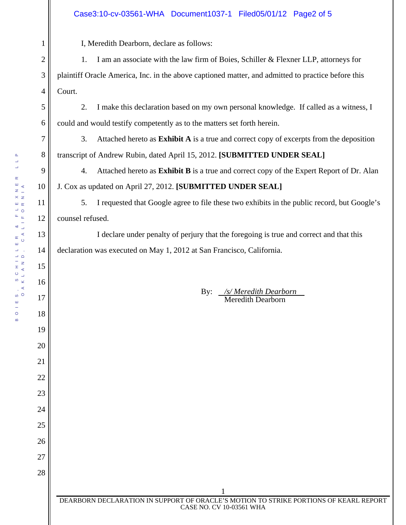#### Case3:10-cv-03561-WHA Document1037-1 Filed05/01/12 Page2 of 5

I, Meredith Dearborn, declare as follows:

1. I am an associate with the law firm of Boies, Schiller & Flexner LLP, attorneys for plaintiff Oracle America, Inc. in the above captioned matter, and admitted to practice before this Court.

2. I make this declaration based on my own personal knowledge. If called as a witness, I could and would testify competently as to the matters set forth herein.

3. Attached hereto as **Exhibit A** is a true and correct copy of excerpts from the deposition transcript of Andrew Rubin, dated April 15, 2012. **[SUBMITTED UNDER SEAL]**

4. Attached hereto as **Exhibit B** is a true and correct copy of the Expert Report of Dr. Alan J. Cox as updated on April 27, 2012. **[SUBMITTED UNDER SEAL]**

5. I requested that Google agree to file these two exhibits in the public record, but Google's counsel refused.

 I declare under penalty of perjury that the foregoing is true and correct and that this declaration was executed on May 1, 2012 at San Francisco, California.

> By: */s/ Meredith Dearborn*  Meredith Dearborn

1

2

3

4

5

6

7

8

9

10

11

12

13

14

15

16

17

18

19

20

21

22

23

24

25

26

27

28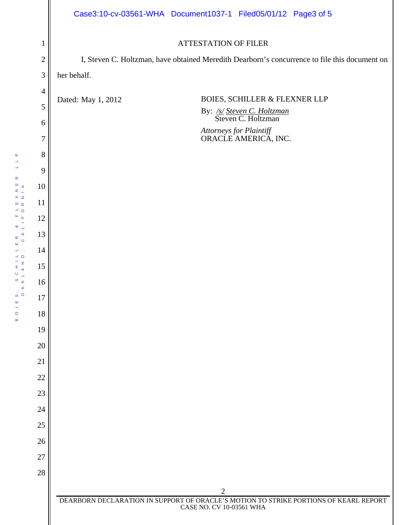|                  | Case3:10-cv-03561-WHA Document1037-1 Filed05/01/12 Page3 of 5                                                     |  |  |
|------------------|-------------------------------------------------------------------------------------------------------------------|--|--|
| $\mathbf{1}$     | <b>ATTESTATION OF FILER</b>                                                                                       |  |  |
| $\mathbf{2}$     | I, Steven C. Holtzman, have obtained Meredith Dearborn's concurrence to file this document on                     |  |  |
| $\mathfrak 3$    | her behalf.                                                                                                       |  |  |
| $\overline{4}$   |                                                                                                                   |  |  |
| $\mathfrak{S}$   | BOIES, SCHILLER & FLEXNER LLP<br>Dated: May 1, 2012<br>By: <u>/s/ Steven C. Holtzman</u><br>Steven C. Holtzman    |  |  |
| $\boldsymbol{6}$ |                                                                                                                   |  |  |
| 7                | Attorneys for Plaintiff<br>ORACLE AMERICA, INC.                                                                   |  |  |
| $8\,$            |                                                                                                                   |  |  |
| 9                |                                                                                                                   |  |  |
| 10               |                                                                                                                   |  |  |
| 11               |                                                                                                                   |  |  |
| 12               |                                                                                                                   |  |  |
| 13               |                                                                                                                   |  |  |
| 14               |                                                                                                                   |  |  |
| 15               |                                                                                                                   |  |  |
| 16               |                                                                                                                   |  |  |
| 17               |                                                                                                                   |  |  |
| 18               |                                                                                                                   |  |  |
| 19               |                                                                                                                   |  |  |
| 20<br>21         |                                                                                                                   |  |  |
| 22               |                                                                                                                   |  |  |
| 23               |                                                                                                                   |  |  |
| 24               |                                                                                                                   |  |  |
| 25               |                                                                                                                   |  |  |
| 26               |                                                                                                                   |  |  |
| 27               |                                                                                                                   |  |  |
| 28               |                                                                                                                   |  |  |
|                  | $\overline{2}$                                                                                                    |  |  |
|                  | DEARBORN DECLARATION IN SUPPORT OF ORACLE'S MOTION TO STRIKE PORTIONS OF KEARL REPORT<br>CASE NO. CV 10-03561 WHA |  |  |
|                  |                                                                                                                   |  |  |

BOIES, SCHILLER & FLEXNER LLP OAKLAND, CALIFORNIA

BOIES, SCHILLER & FLEXNER<br>OAKLAND, CALIFORNIA

 $\begin{array}{c} \mathsf{L} \quad \mathsf{L} \quad \mathsf{P} \end{array}$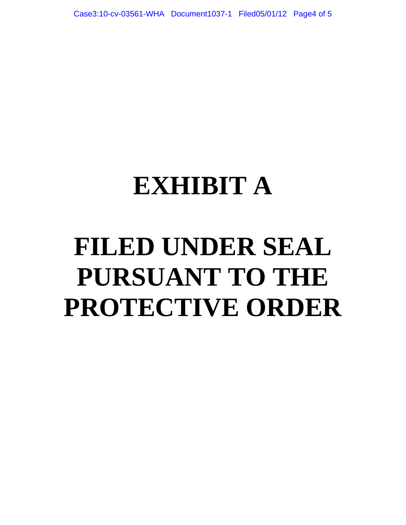### **EXHIBIT A**

# **FILED UNDER SEAL PURSUANT TO THE PROTECTIVE ORDER**